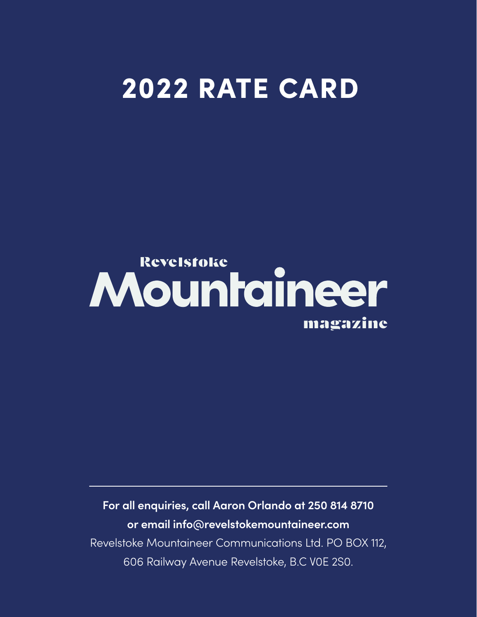# 2022 RATE CARD

## **Revelstoke** Mountaineer magazine

**For all enquiries, call Aaron Orlando at 250 814 8710 or email info@revelstokemountaineer.com**  Revelstoke Mountaineer Communications Ltd. PO BOX 112, 606 Railway Avenue Revelstoke, B.C V0E 2S0.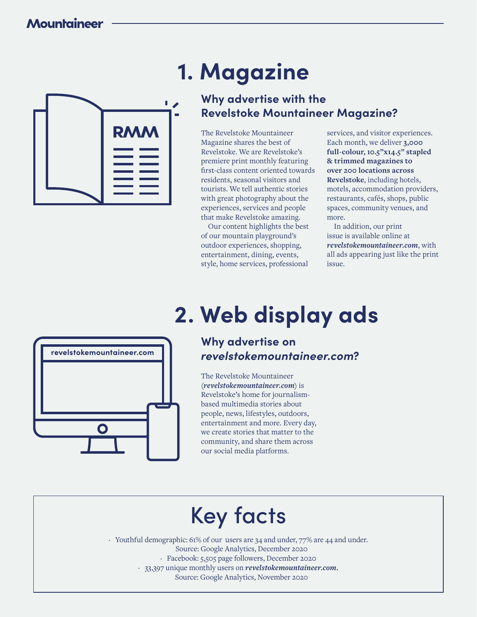

# **1. Magazine**

### **Why advertise with the Revelstoke Mountaineer Magazine?**

The Revelstoke Mountaineer Magazine shares the best of Revelstoke. We are Revelstoke's premiere print monthly featuring first-class content oriented towards residents, seasonal visitors and tourists. We tell authentic stories with great photography about the experiences, services and people that make Revelstoke amazing.

Our content highlights the best of our mountain playground's outdoor experiences, shopping, entertainment, dining, events, style, home services, professional

services, and visitor experiences. Each month, we deliver **3,000 full-colour, 10.5"x14.5" stapled & trimmed magazines to over 200 locations across Revelstoke**, including hotels, motels, accommodation providers, restaurants, cafés, shops, public spaces, community venues, and more.

In addition, our print issue is available online at *revelstokemountaineer.com*, with all ads appearing just like the print issue.



# **2. Web display ads**

### **Why advertise on** *revelstokemountaineer.com***?**

The Revelstoke Mountaineer *(revelstokemountaineer.com)* is Revelstoke's home for journalismbased multimedia stories about people, news, lifestyles, outdoors, entertainment and more. Every day, we create stories that matter to the community, and share them across our social media platforms.

# Key facts

· Youthful demographic: 61% of our users are 34 and under, 77% are 44 and under. Source: Google Analytics, December 2020 · Facebook: 5,505 page followers, December 2020

· 33,397 unique monthly users on *revelstokemountaineer.com.*

Source: Google Analytics, November 2020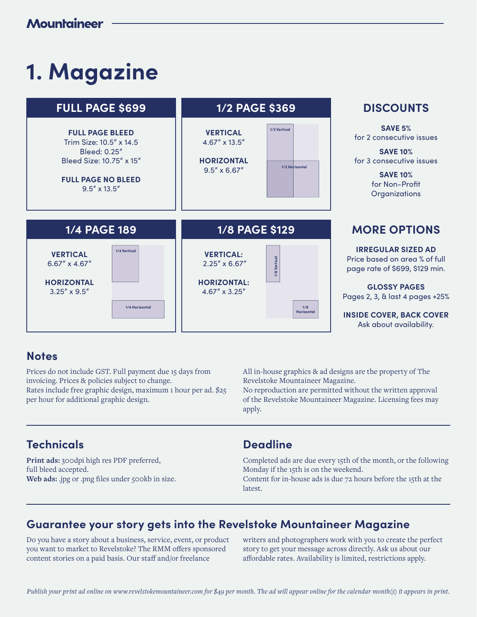# **1. Magazine**



### **Notes**

Prices do not include GST. Full payment due 15 days from invoicing. Prices & policies subject to change. Rates include free graphic design, maximum 1 hour per ad. \$25 per hour for additional graphic design.

All in-house graphics & ad designs are the property of The Revelstoke Mountaineer Magazine.

No reproduction are permitted without the written approval of the Revelstoke Mountaineer Magazine. Licensing fees may apply.

### **Technicals**

**Print ads:** 300dpi high res PDF preferred, full bleed accepted. Web ads: .jpg or .png files under 500kb in size.

#### **Deadline**

Completed ads are due every 15th of the month, or the following Monday if the 15th is on the weekend.

Content for in-house ads is due 72 hours before the 15th at the latest.

### **Guarantee your story gets into the Revelstoke Mountaineer Magazine**

Do you have a story about a business, service, event, or product you want to market to Revelstoke? The RMM offers sponsored content stories on a paid basis. Our staff and/or freelance

writers and photographers work with you to create the perfect story to get your message across directly. Ask us about our affordable rates. Availability is limited, restrictions apply.